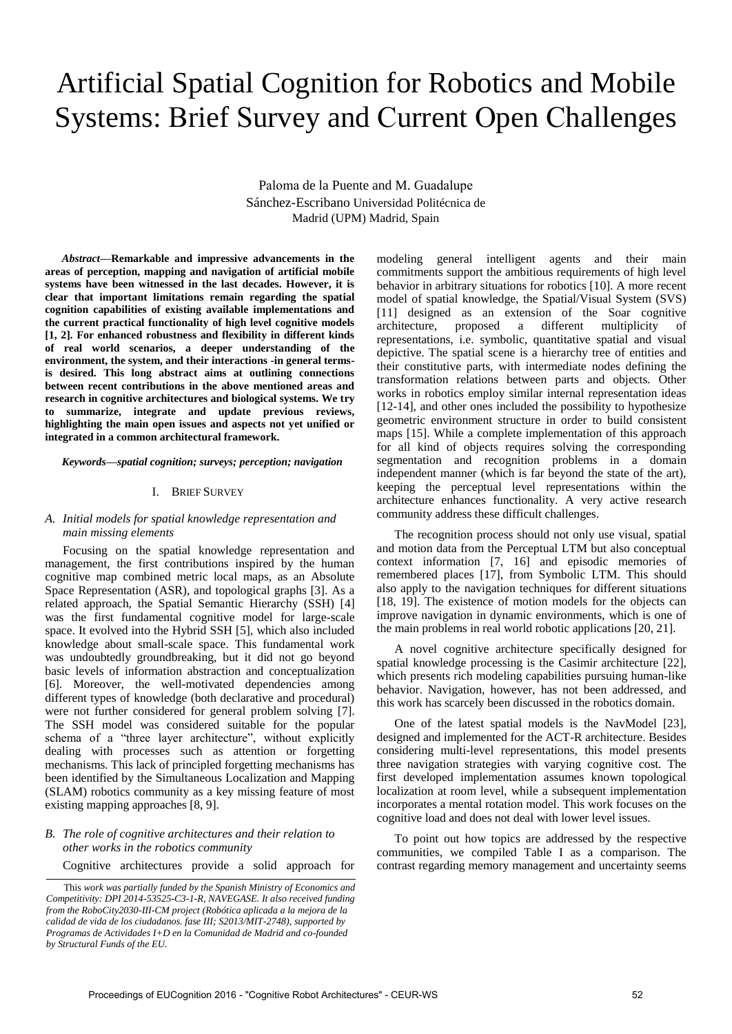# Artificial Spatial Cognition for Robotics and Mobile Systems: Brief Survey and Current Open Challenges

Paloma de la Puente and M. Guadalupe Sánchez-Escribano Universidad Politécnica de Madrid (UPM) Madrid, Spain

*Abstract***—Remarkable and impressive advancements in the areas of perception, mapping and navigation of artificial mobile systems have been witnessed in the last decades. However, it is clear that important limitations remain regarding the spatial cognition capabilities of existing available implementations and the current practical functionality of high level cognitive models [1, 2]. For enhanced robustness and flexibility in different kinds of real world scenarios, a deeper understanding of the environment, the system, and their interactions -in general termsis desired. This long abstract aims at outlining connections between recent contributions in the above mentioned areas and research in cognitive architectures and biological systems. We try to summarize, integrate and update previous reviews, highlighting the main open issues and aspects not yet unified or integrated in a common architectural framework.** 

*Keywords—spatial cognition; surveys; perception; navigation* 

### I. BRIEF SURVEY

# *A. Initial models for spatial knowledge representation and main missing elements*

Focusing on the spatial knowledge representation and management, the first contributions inspired by the human cognitive map combined metric local maps, as an Absolute Space Representation (ASR), and topological graphs [3]. As a related approach, the Spatial Semantic Hierarchy (SSH) [4] was the first fundamental cognitive model for large-scale space. It evolved into the Hybrid SSH [5], which also included knowledge about small-scale space. This fundamental work was undoubtedly groundbreaking, but it did not go beyond basic levels of information abstraction and conceptualization [6]. Moreover, the well-motivated dependencies among different types of knowledge (both declarative and procedural) were not further considered for general problem solving [7]. The SSH model was considered suitable for the popular schema of a "three layer architecture", without explicitly dealing with processes such as attention or forgetting mechanisms. This lack of principled forgetting mechanisms has been identified by the Simultaneous Localization and Mapping (SLAM) robotics community as a key missing feature of most existing mapping approaches [8, 9].

# *B. The role of cognitive architectures and their relation to other works in the robotics community*

Cognitive architectures provide a solid approach for

modeling general intelligent agents and their main commitments support the ambitious requirements of high level behavior in arbitrary situations for robotics [10]. A more recent model of spatial knowledge, the Spatial/Visual System (SVS) [11] designed as an extension of the Soar cognitive architecture, proposed a different multiplicity of representations, i.e. symbolic, quantitative spatial and visual depictive. The spatial scene is a hierarchy tree of entities and their constitutive parts, with intermediate nodes defining the transformation relations between parts and objects. Other works in robotics employ similar internal representation ideas [12-14], and other ones included the possibility to hypothesize geometric environment structure in order to build consistent maps [15]. While a complete implementation of this approach for all kind of objects requires solving the corresponding segmentation and recognition problems in a domain independent manner (which is far beyond the state of the art), keeping the perceptual level representations within the architecture enhances functionality. A very active research community address these difficult challenges.

The recognition process should not only use visual, spatial and motion data from the Perceptual LTM but also conceptual context information [7, 16] and episodic memories of remembered places [17], from Symbolic LTM. This should also apply to the navigation techniques for different situations [18, 19]. The existence of motion models for the objects can improve navigation in dynamic environments, which is one of the main problems in real world robotic applications [20, 21].

A novel cognitive architecture specifically designed for spatial knowledge processing is the Casimir architecture [22], which presents rich modeling capabilities pursuing human-like behavior. Navigation, however, has not been addressed, and this work has scarcely been discussed in the robotics domain.

One of the latest spatial models is the NavModel [23], designed and implemented for the ACT-R architecture. Besides considering multi-level representations, this model presents three navigation strategies with varying cognitive cost. The first developed implementation assumes known topological localization at room level, while a subsequent implementation incorporates a mental rotation model. This work focuses on the cognitive load and does not deal with lower level issues.

To point out how topics are addressed by the respective communities, we compiled Table I as a comparison. The contrast regarding memory management and uncertainty seems

This *work was partially funded by the Spanish Ministry of Economics and Competitivity: DPI 2014-53525-C3-1-R, NAVEGASE. It also received funding from the RoboCity2030-III-CM project (Robótica aplicada a la mejora de la calidad de vida de los ciudadanos. fase III; S2013/MIT-2748), supported by Programas de Actividades I+D en la Comunidad de Madrid and co-founded by Structural Funds of the EU.*